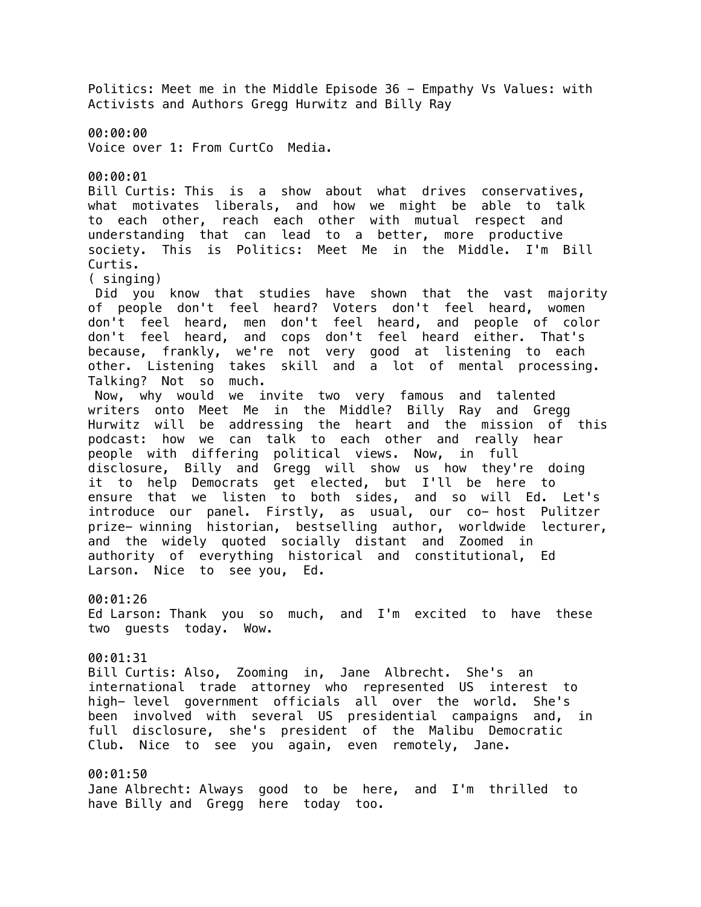Politics: Meet me in the Middle Episode 36 - Empathy Vs Values: with Activists and Authors Gregg Hurwitz and Billy Ray 00:00:00 Voice over 1: From CurtCo Media. 00:00:01 Bill Curtis: This is a show about what drives conservatives, what motivates liberals, and how we might be able to talk to each other, reach each other with mutual respect and understanding that can lead to a better, more productive society. This is Politics: Meet Me in the Middle. I'm Bill Curtis. ( singing) Did you know that studies have shown that the vast majority of people don't feel heard? Voters don't feel heard, women don't feel heard, men don't feel heard, and people of color don't feel heard, and cops don't feel heard either. That's because, frankly, we're not very good at listening to each other. Listening takes skill and a lot of mental processing. Talking? Not so much. Now, why would we invite two very famous and talented writers onto Meet Me in the Middle? Billy Ray and Gregg Hurwitz will be addressing the heart and the mission of this podcast: how we can talk to each other and really hear people with differing political views. Now, in full disclosure, Billy and Gregg will show us how they're doing it to help Democrats get elected, but I'll be here to ensure that we listen to both sides, and so will Ed. Let's introduce our panel. Firstly, as usual, our co- host Pulitzer prize- winning historian, bestselling author, worldwide lecturer, and the widely quoted socially distant and Zoomed in authority of everything historical and constitutional, Ed Larson. Nice to see you, Ed. 00:01:26 Ed Larson: Thank you so much, and I'm excited to have these two guests today. Wow. 00:01:31 Bill Curtis: Also, Zooming in, Jane Albrecht. She's an international trade attorney who represented US interest to high- level government officials all over the world. She's been involved with several US presidential campaigns and, in full disclosure, she's president of the Malibu Democratic Club. Nice to see you again, even remotely, Jane. 00:01:50 Jane Albrecht: Always good to be here, and I'm thrilled to have Billy and Gregg here today too.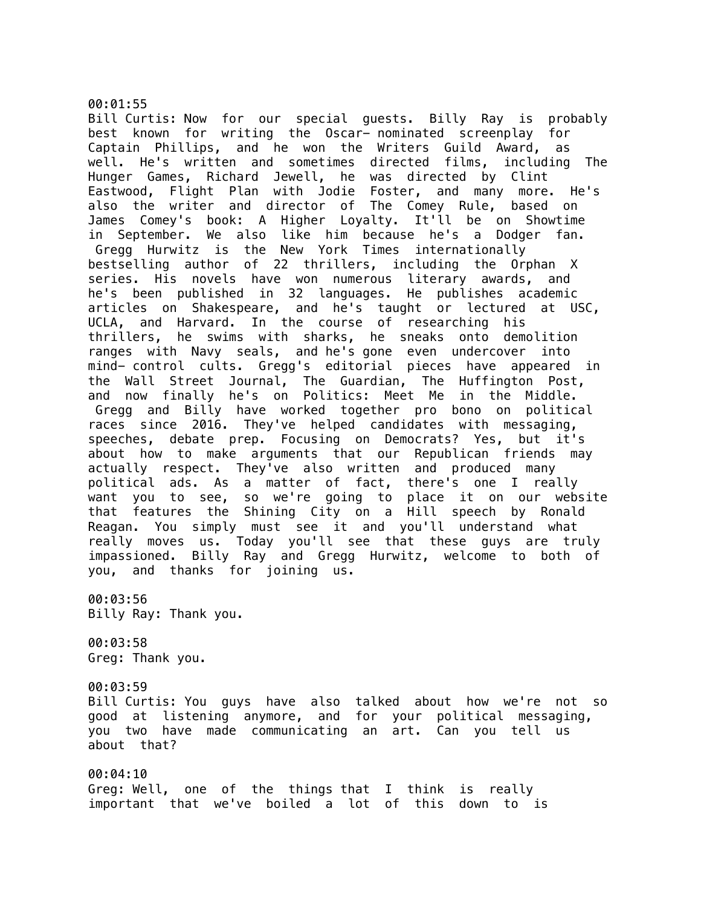### 00:01:55

Bill Curtis: Now for our special guests. Billy Ray is probably best known for writing the Oscar- nominated screenplay for Captain Phillips, and he won the Writers Guild Award, as well. He's written and sometimes directed films, including The Hunger Games, Richard Jewell, he was directed by Clint Eastwood, Flight Plan with Jodie Foster, and many more. He's also the writer and director of The Comey Rule, based on James Comey's book: A Higher Loyalty. It'll be on Showtime in September. We also like him because he's a Dodger fan. Gregg Hurwitz is the New York Times internationally bestselling author of 22 thrillers, including the Orphan X series. His novels have won numerous literary awards, and he's been published in 32 languages. He publishes academic articles on Shakespeare, and he's taught or lectured at USC, UCLA, and Harvard. In the course of researching his thrillers, he swims with sharks, he sneaks onto demolition ranges with Navy seals, and he's gone even undercover into mind- control cults. Gregg's editorial pieces have appeared in the Wall Street Journal, The Guardian, The Huffington Post, and now finally he's on Politics: Meet Me in the Middle. Gregg and Billy have worked together pro bono on political races since 2016. They've helped candidates with messaging, speeches, debate prep. Focusing on Democrats? Yes, but it's about how to make arguments that our Republican friends may actually respect. They've also written and produced many political ads. As a matter of fact, there's one I really want you to see, so we're going to place it on our website that features the Shining City on a Hill speech by Ronald Reagan. You simply must see it and you'll understand what really moves us. Today you'll see that these guys are truly impassioned. Billy Ray and Gregg Hurwitz, welcome to both of you, and thanks for joining us.

00:03:56 Billy Ray: Thank you.

00:03:58 Greg: Thank you.

00:03:59 Bill Curtis: You guys have also talked about how we're not so good at listening anymore, and for your political messaging, you two have made communicating an art. Can you tell us about that?

00:04:10 Greg: Well, one of the things that I think is really important that we've boiled a lot of this down to is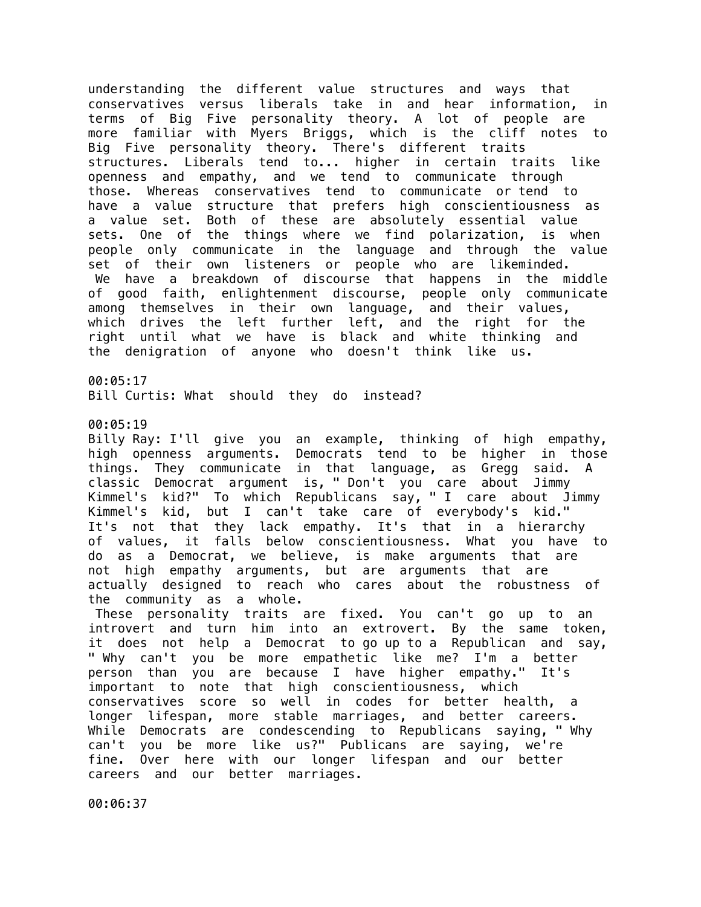understanding the different value structures and ways that conservatives versus liberals take in and hear information, in terms of Big Five personality theory. A lot of people are more familiar with Myers Briggs, which is the cliff notes to Big Five personality theory. There's different traits structures. Liberals tend to... higher in certain traits like openness and empathy, and we tend to communicate through those. Whereas conservatives tend to communicate or tend to have a value structure that prefers high conscientiousness as a value set. Both of these are absolutely essential value sets. One of the things where we find polarization, is when people only communicate in the language and through the value set of their own listeners or people who are likeminded. We have a breakdown of discourse that happens in the middle of good faith, enlightenment discourse, people only communicate among themselves in their own language, and their values, which drives the left further left, and the right for the right until what we have is black and white thinking and the denigration of anyone who doesn't think like us. 00:05:17

Bill Curtis: What should they do instead?

00:05:19

Billy Ray: I'll give you an example, thinking of high empathy, high openness arguments. Democrats tend to be higher in those things. They communicate in that language, as Gregg said. A classic Democrat argument is, " Don't you care about Jimmy Kimmel's kid?" To which Republicans say, " I care about Jimmy Kimmel's kid, but I can't take care of everybody's kid." It's not that they lack empathy. It's that in a hierarchy of values, it falls below conscientiousness. What you have to do as a Democrat, we believe, is make arguments that are not high empathy arguments, but are arguments that are actually designed to reach who cares about the robustness of the community as a whole.

 These personality traits are fixed. You can't go up to an introvert and turn him into an extrovert. By the same token, it does not help a Democrat to go up to a Republican and say, " Why can't you be more empathetic like me? I'm a better person than you are because I have higher empathy." It's important to note that high conscientiousness, which conservatives score so well in codes for better health, a longer lifespan, more stable marriages, and better careers. While Democrats are condescending to Republicans saying, " Why can't you be more like us?" Publicans are saying, we're fine. Over here with our longer lifespan and our better careers and our better marriages.

00:06:37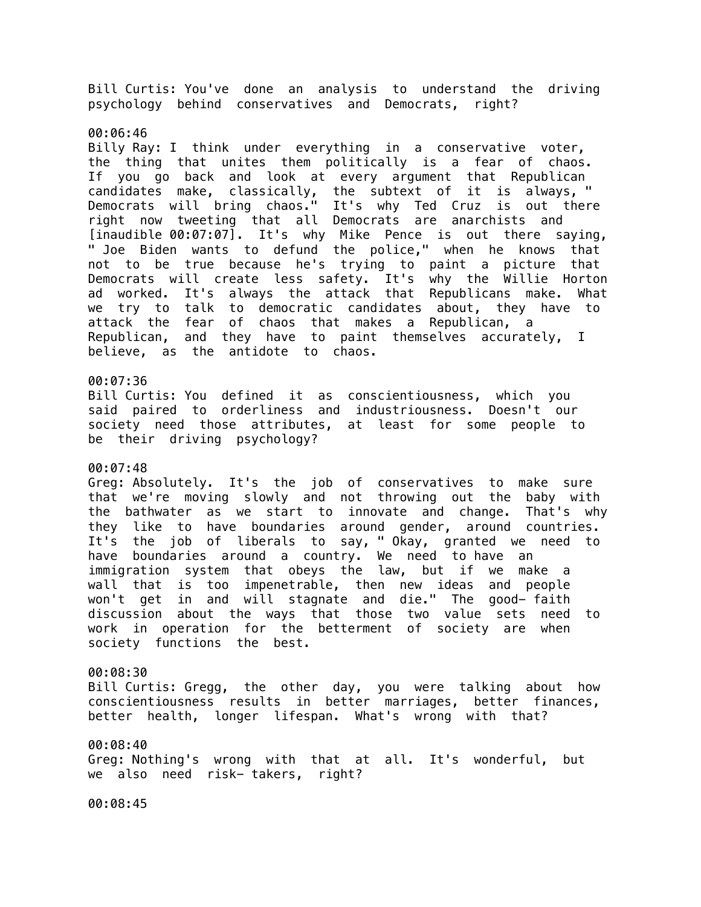Bill Curtis: You've done an analysis to understand the driving psychology behind conservatives and Democrats, right?

#### 00:06:46

Billy Ray: I think under everything in a conservative voter, the thing that unites them politically is a fear of chaos. If you go back and look at every argument that Republican candidates make, classically, the subtext of it is always, " Democrats will bring chaos." It's why Ted Cruz is out there right now tweeting that all Democrats are anarchists and [inaudible 00:07:07]. It's why Mike Pence is out there saying, " Joe Biden wants to defund the police," when he knows that not to be true because he's trying to paint a picture that Democrats will create less safety. It's why the Willie Horton ad worked. It's always the attack that Republicans make. What we try to talk to democratic candidates about, they have to attack the fear of chaos that makes a Republican, a Republican, and they have to paint themselves accurately, I believe, as the antidote to chaos.

# 00:07:36

Bill Curtis: You defined it as conscientiousness, which you said paired to orderliness and industriousness. Doesn't our society need those attributes, at least for some people to be their driving psychology?

# 00:07:48

Greg: Absolutely. It's the job of conservatives to make sure that we're moving slowly and not throwing out the baby with the bathwater as we start to innovate and change. That's why they like to have boundaries around gender, around countries. It's the job of liberals to say, " Okay, granted we need to have boundaries around a country. We need to have an immigration system that obeys the law, but if we make a wall that is too impenetrable, then new ideas and people won't get in and will stagnate and die." The good- faith discussion about the ways that those two value sets need to work in operation for the betterment of society are when society functions the best.

#### 00:08:30

Bill Curtis: Gregg, the other day, you were talking about how conscientiousness results in better marriages, better finances, better health, longer lifespan. What's wrong with that?

#### 00:08:40

Greg: Nothing's wrong with that at all. It's wonderful, but we also need risk- takers, right?

00:08:45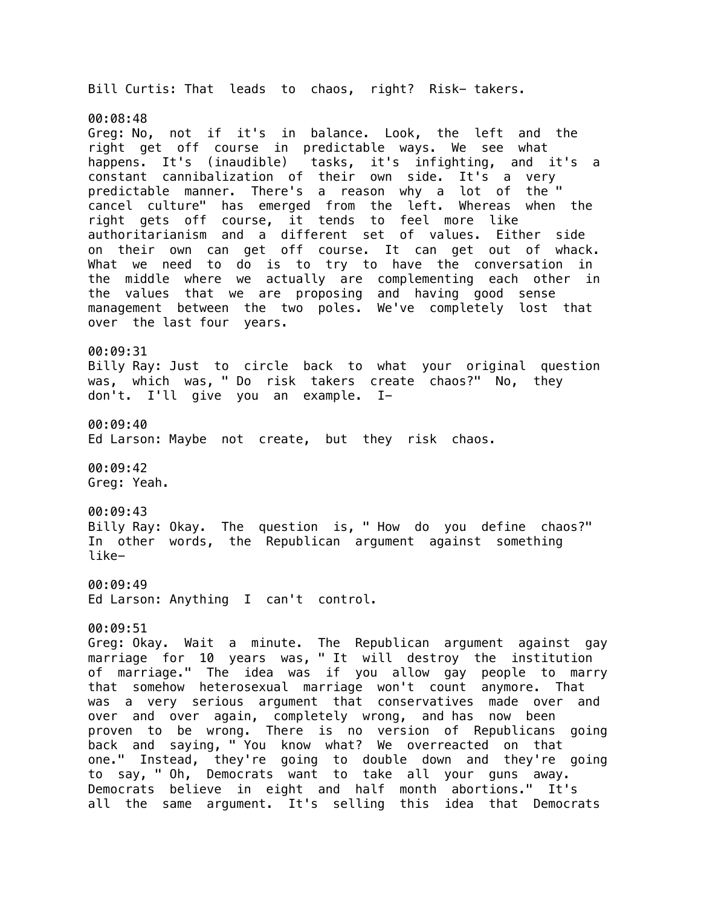Bill Curtis: That leads to chaos, right? Risk- takers. 00:08:48 Greg: No, not if it's in balance. Look, the left and the right get off course in predictable ways. We see what happens. It's (inaudible) tasks, it's infighting, and it's a constant cannibalization of their own side. It's a very predictable manner. There's a reason why a lot of the " cancel culture" has emerged from the left. Whereas when the right gets off course, it tends to feel more like authoritarianism and a different set of values. Either side on their own can get off course. It can get out of whack. What we need to do is to try to have the conversation in the middle where we actually are complementing each other in the values that we are proposing and having good sense management between the two poles. We've completely lost that over the last four years. 00:09:31 Billy Ray: Just to circle back to what your original question was, which was, " Do risk takers create chaos?" No, they don't. I'll give you an example. I-00:09:40 Ed Larson: Maybe not create, but they risk chaos. 00:09:42 Greg: Yeah. 00:09:43 Billy Ray: Okay. The question is, " How do you define chaos?" In other words, the Republican argument against something like-00:09:49 Ed Larson: Anything I can't control. 00:09:51 Greg: Okay. Wait a minute. The Republican argument against gay marriage for 10 years was, " It will destroy the institution of marriage." The idea was if you allow gay people to marry that somehow heterosexual marriage won't count anymore. That was a very serious argument that conservatives made over and over and over again, completely wrong, and has now been proven to be wrong. There is no version of Republicans going back and saying, " You know what? We overreacted on that one." Instead, they're going to double down and they're going to say, " Oh, Democrats want to take all your guns away. Democrats believe in eight and half month abortions." It's

all the same argument. It's selling this idea that Democrats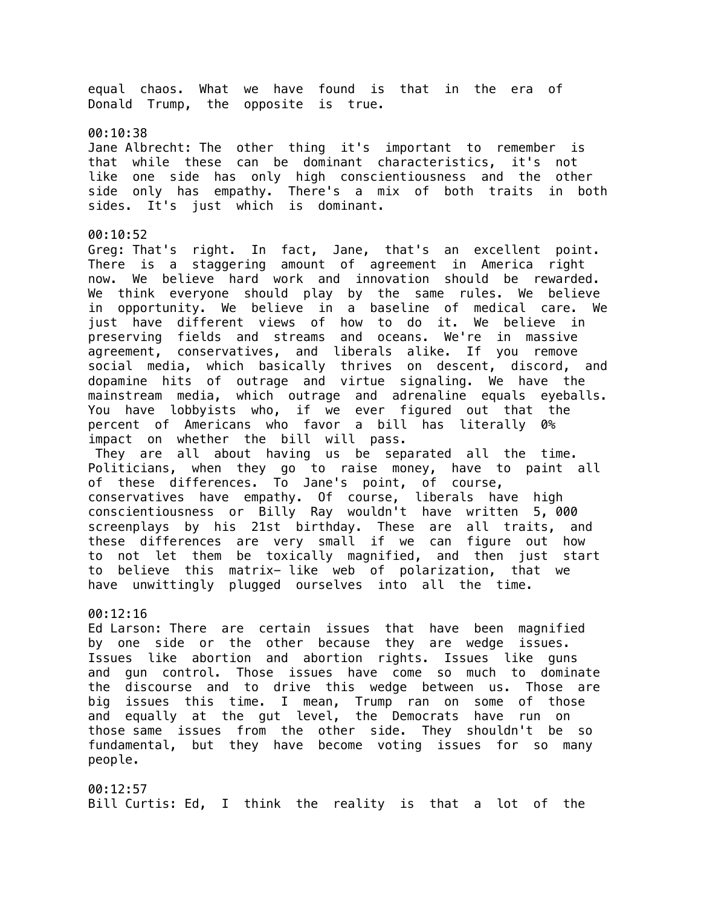equal chaos. What we have found is that in the era of Donald Trump, the opposite is true. 00:10:38 Jane Albrecht: The other thing it's important to remember is that while these can be dominant characteristics, it's not like one side has only high conscientiousness and the other side only has empathy. There's a mix of both traits in both sides. It's just which is dominant. 00:10:52 Greg: That's right. In fact, Jane, that's an excellent point. There is a staggering amount of agreement in America right now. We believe hard work and innovation should be rewarded. We think everyone should play by the same rules. We believe in opportunity. We believe in a baseline of medical care. We just have different views of how to do it. We believe in preserving fields and streams and oceans. We're in massive agreement, conservatives, and liberals alike. If you remove social media, which basically thrives on descent, discord, and dopamine hits of outrage and virtue signaling. We have the mainstream media, which outrage and adrenaline equals eyeballs. You have lobbyists who, if we ever figured out that the percent of Americans who favor a bill has literally 0% impact on whether the bill will pass. They are all about having us be separated all the time. Politicians, when they go to raise money, have to paint all of these differences. To Jane's point, of course, conservatives have empathy. Of course, liberals have high conscientiousness or Billy Ray wouldn't have written 5, 000 screenplays by his 21st birthday. These are all traits, and these differences are very small if we can figure out how to not let them be toxically magnified, and then just start to believe this matrix- like web of polarization, that we have unwittingly plugged ourselves into all the time. 00:12:16 Ed Larson: There are certain issues that have been magnified by one side or the other because they are wedge issues. Issues like abortion and abortion rights. Issues like guns and gun control. Those issues have come so much to dominate the discourse and to drive this wedge between us. Those are big issues this time. I mean, Trump ran on some of those and equally at the gut level, the Democrats have run on those same issues from the other side. They shouldn't be so fundamental, but they have become voting issues for so many people.

00:12:57 Bill Curtis: Ed, I think the reality is that a lot of the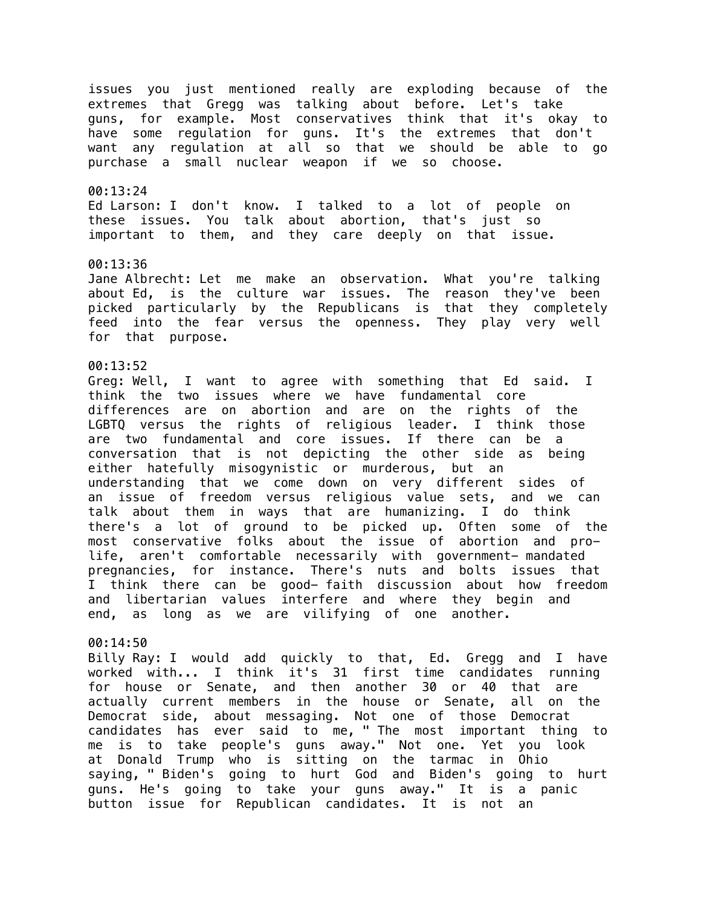issues you just mentioned really are exploding because of the extremes that Gregg was talking about before. Let's take guns, for example. Most conservatives think that it's okay to have some regulation for guns. It's the extremes that don't want any regulation at all so that we should be able to go purchase a small nuclear weapon if we so choose.

### 00:13:24

Ed Larson: I don't know. I talked to a lot of people on these issues. You talk about abortion, that's just so important to them, and they care deeply on that issue.

### 00:13:36

Jane Albrecht: Let me make an observation. What you're talking about Ed, is the culture war issues. The reason they've been picked particularly by the Republicans is that they completely feed into the fear versus the openness. They play very well for that purpose.

### 00:13:52

Greg: Well, I want to agree with something that Ed said. I think the two issues where we have fundamental core differences are on abortion and are on the rights of the LGBTQ versus the rights of religious leader. I think those are two fundamental and core issues. If there can be a conversation that is not depicting the other side as being either hatefully misogynistic or murderous, but an understanding that we come down on very different sides of an issue of freedom versus religious value sets, and we can talk about them in ways that are humanizing. I do think there's a lot of ground to be picked up. Often some of the most conservative folks about the issue of abortion and prolife, aren't comfortable necessarily with government- mandated pregnancies, for instance. There's nuts and bolts issues that I think there can be good- faith discussion about how freedom and libertarian values interfere and where they begin and end, as long as we are vilifying of one another.

### 00:14:50

Billy Ray: I would add quickly to that, Ed. Gregg and I have worked with... I think it's 31 first time candidates running for house or Senate, and then another 30 or 40 that are actually current members in the house or Senate, all on the Democrat side, about messaging. Not one of those Democrat candidates has ever said to me, " The most important thing to me is to take people's guns away." Not one. Yet you look at Donald Trump who is sitting on the tarmac in Ohio saying, " Biden's going to hurt God and Biden's going to hurt guns. He's going to take your guns away." It is a panic button issue for Republican candidates. It is not an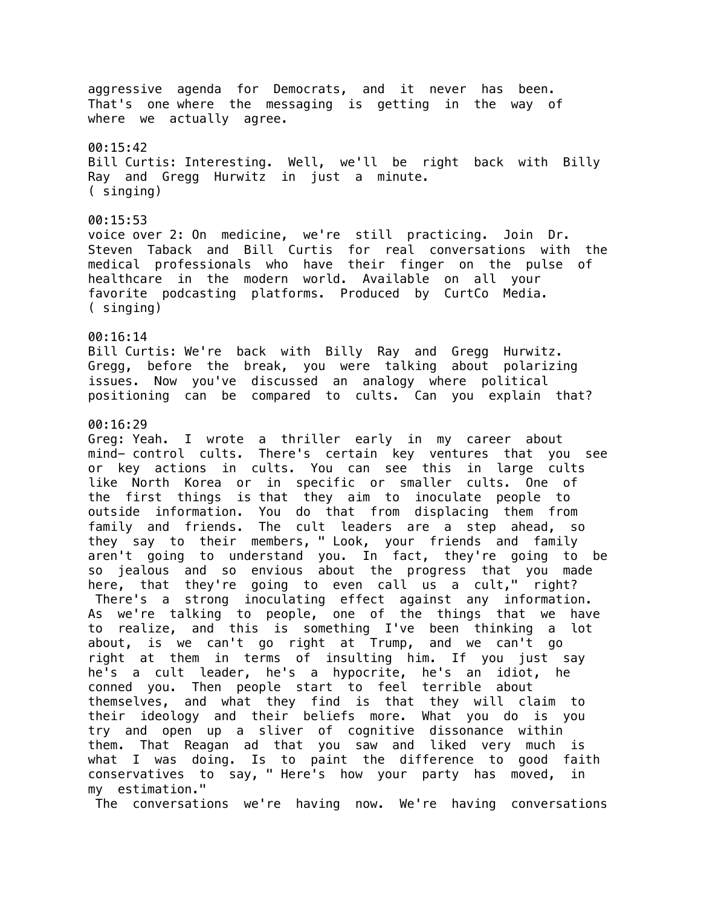aggressive agenda for Democrats, and it never has been. That's one where the messaging is getting in the way of where we actually agree. 00:15:42 Bill Curtis: Interesting. Well, we'll be right back with Billy Ray and Gregg Hurwitz in just a minute. ( singing) 00:15:53 voice over 2: On medicine, we're still practicing. Join Dr. Steven Taback and Bill Curtis for real conversations with the medical professionals who have their finger on the pulse of healthcare in the modern world. Available on all your favorite podcasting platforms. Produced by CurtCo Media. ( singing) 00:16:14 Bill Curtis: We're back with Billy Ray and Gregg Hurwitz. Gregg, before the break, you were talking about polarizing issues. Now you've discussed an analogy where political positioning can be compared to cults. Can you explain that? 00:16:29 Greg: Yeah. I wrote a thriller early in my career about mind- control cults. There's certain key ventures that you see or key actions in cults. You can see this in large cults like North Korea or in specific or smaller cults. One of the first things is that they aim to inoculate people to outside information. You do that from displacing them from family and friends. The cult leaders are a step ahead, so they say to their members, " Look, your friends and family aren't going to understand you. In fact, they're going to be so jealous and so envious about the progress that you made here, that they're going to even call us a cult," right? There's a strong inoculating effect against any information. As we're talking to people, one of the things that we have to realize, and this is something I've been thinking a lot about, is we can't go right at Trump, and we can't go right at them in terms of insulting him. If you just say he's a cult leader, he's a hypocrite, he's an idiot, he conned you. Then people start to feel terrible about themselves, and what they find is that they will claim to their ideology and their beliefs more. What you do is you try and open up a sliver of cognitive dissonance within them. That Reagan ad that you saw and liked very much is what I was doing. Is to paint the difference to good faith conservatives to say, " Here's how your party has moved, in my estimation."

The conversations we're having now. We're having conversations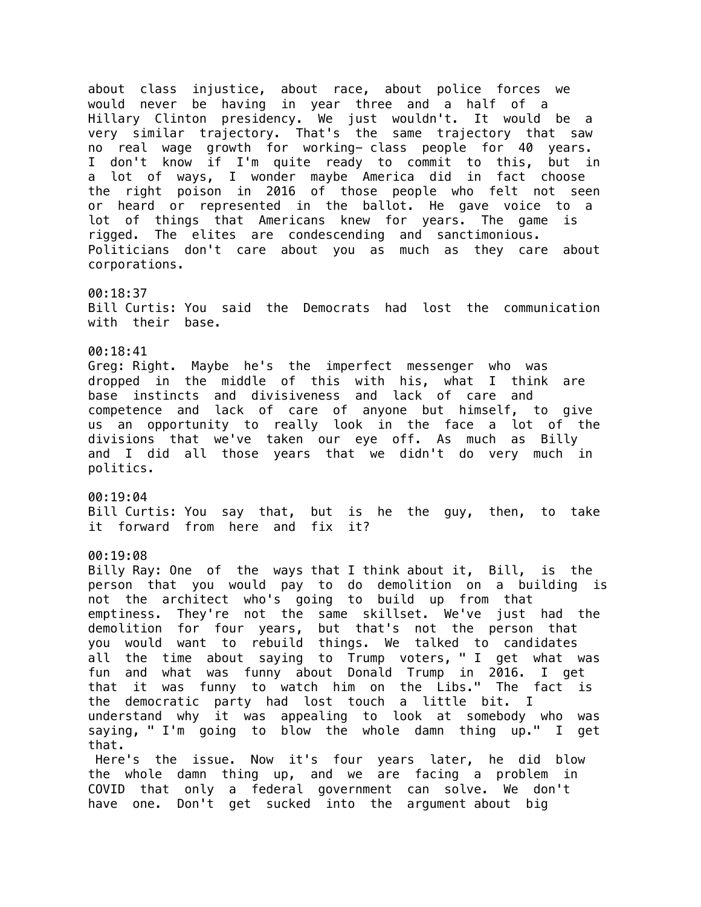about class injustice, about race, about police forces we would never be having in year three and a half of a Hillary Clinton presidency. We just wouldn't. It would be a very similar trajectory. That's the same trajectory that saw no real wage growth for working- class people for 40 years. I don't know if I'm quite ready to commit to this, but in a lot of ways, I wonder maybe America did in fact choose the right poison in 2016 of those people who felt not seen or heard or represented in the ballot. He gave voice to a lot of things that Americans knew for years. The game is rigged. The elites are condescending and sanctimonious. Politicians don't care about you as much as they care about corporations. 00:18:37 Bill Curtis: You said the Democrats had lost the communication with their base. 00:18:41 Greg: Right. Maybe he's the imperfect messenger who was dropped in the middle of this with his, what I think are base instincts and divisiveness and lack of care and competence and lack of care of anyone but himself, to give us an opportunity to really look in the face a lot of the divisions that we've taken our eye off. As much as Billy and I did all those years that we didn't do very much in politics. 00:19:04 Bill Curtis: You say that, but is he the guy, then, to take it forward from here and fix it? 00:19:08 Billy Ray: One of the ways that I think about it, Bill, is the person that you would pay to do demolition on a building is not the architect who's going to build up from that emptiness. They're not the same skillset. We've just had the demolition for four years, but that's not the person that you would want to rebuild things. We talked to candidates all the time about saying to Trump voters, " I get what was fun and what was funny about Donald Trump in 2016. I get that it was funny to watch him on the Libs." The fact is the democratic party had lost touch a little bit. I understand why it was appealing to look at somebody who was saying, " I'm going to blow the whole damn thing up." I get that. Here's the issue. Now it's four years later, he did blow the whole damn thing up, and we are facing a problem in COVID that only a federal government can solve. We don't have one. Don't get sucked into the argument about big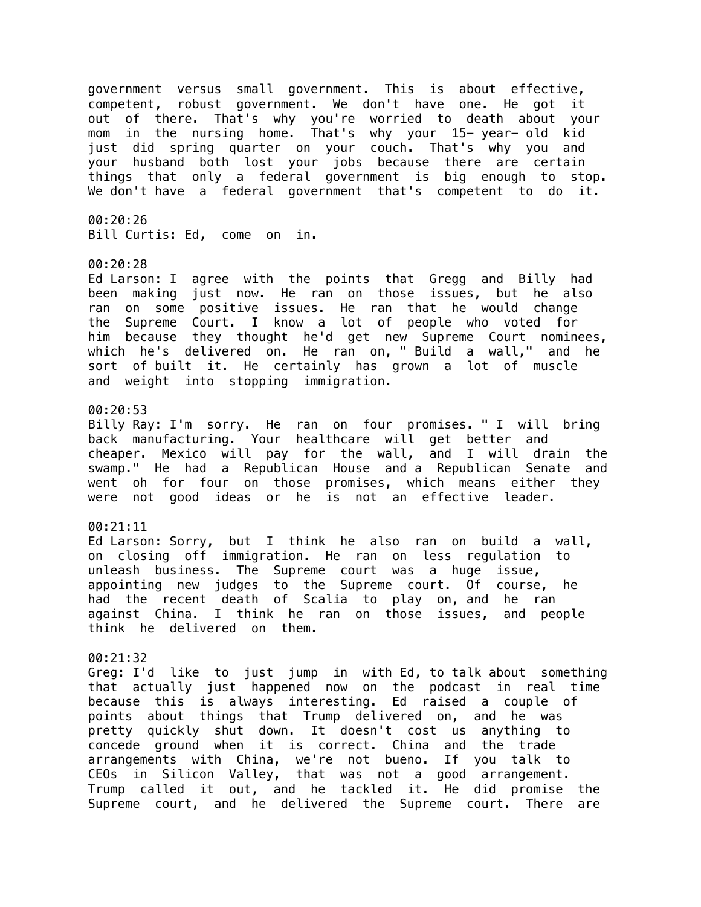government versus small government. This is about effective, competent, robust government. We don't have one. He got it out of there. That's why you're worried to death about your mom in the nursing home. That's why your 15- year- old kid just did spring quarter on your couch. That's why you and your husband both lost your jobs because there are certain things that only a federal government is big enough to stop. We don't have a federal government that's competent to do it.

00:20:26

Bill Curtis: Ed, come on in.

#### 00:20:28

Ed Larson: I agree with the points that Gregg and Billy had been making just now. He ran on those issues, but he also ran on some positive issues. He ran that he would change the Supreme Court. I know a lot of people who voted for him because they thought he'd get new Supreme Court nominees, which he's delivered on. He ran on, " Build a wall," and he sort of built it. He certainly has grown a lot of muscle and weight into stopping immigration.

# 00:20:53

Billy Ray: I'm sorry. He ran on four promises. " I will bring back manufacturing. Your healthcare will get better and cheaper. Mexico will pay for the wall, and I will drain the swamp." He had a Republican House and a Republican Senate and went oh for four on those promises, which means either they were not good ideas or he is not an effective leader.

# 00:21:11

Ed Larson: Sorry, but I think he also ran on build a wall, on closing off immigration. He ran on less regulation to unleash business. The Supreme court was a huge issue, appointing new judges to the Supreme court. Of course, he had the recent death of Scalia to play on, and he ran against China. I think he ran on those issues, and people think he delivered on them.

# 00:21:32

Greg: I'd like to just jump in with Ed, to talk about something that actually just happened now on the podcast in real time because this is always interesting. Ed raised a couple of points about things that Trump delivered on, and he was pretty quickly shut down. It doesn't cost us anything to concede ground when it is correct. China and the trade arrangements with China, we're not bueno. If you talk to CEOs in Silicon Valley, that was not a good arrangement. Trump called it out, and he tackled it. He did promise the Supreme court, and he delivered the Supreme court. There are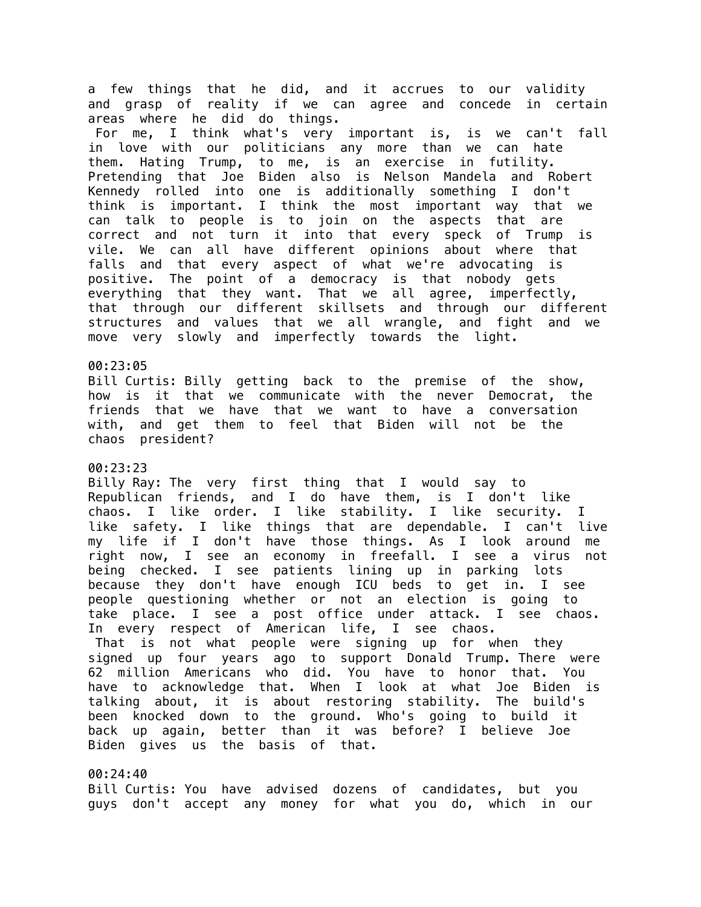a few things that he did, and it accrues to our validity and grasp of reality if we can agree and concede in certain areas where he did do things. For me, I think what's very important is, is we can't fall in love with our politicians any more than we can hate them. Hating Trump, to me, is an exercise in futility. Pretending that Joe Biden also is Nelson Mandela and Robert Kennedy rolled into one is additionally something I don't think is important. I think the most important way that we can talk to people is to join on the aspects that are correct and not turn it into that every speck of Trump is vile. We can all have different opinions about where that falls and that every aspect of what we're advocating is positive. The point of a democracy is that nobody gets everything that they want. That we all agree, imperfectly, that through our different skillsets and through our different structures and values that we all wrangle, and fight and we move very slowly and imperfectly towards the light.

### 00:23:05

Bill Curtis: Billy getting back to the premise of the show, how is it that we communicate with the never Democrat, the friends that we have that we want to have a conversation with, and get them to feel that Biden will not be the chaos president?

# 00:23:23

Billy Ray: The very first thing that I would say to Republican friends, and I do have them, is I don't like chaos. I like order. I like stability. I like security. I like safety. I like things that are dependable. I can't live my life if I don't have those things. As I look around me right now, I see an economy in freefall. I see a virus not being checked. I see patients lining up in parking lots because they don't have enough ICU beds to get in. I see people questioning whether or not an election is going to take place. I see a post office under attack. I see chaos. In every respect of American life, I see chaos. That is not what people were signing up for when they signed up four years ago to support Donald Trump. There were 62 million Americans who did. You have to honor that. You have to acknowledge that. When I look at what Joe Biden is talking about, it is about restoring stability. The build's been knocked down to the ground. Who's going to build it back up again, better than it was before? I believe Joe Biden gives us the basis of that.

# 00:24:40

Bill Curtis: You have advised dozens of candidates, but you guys don't accept any money for what you do, which in our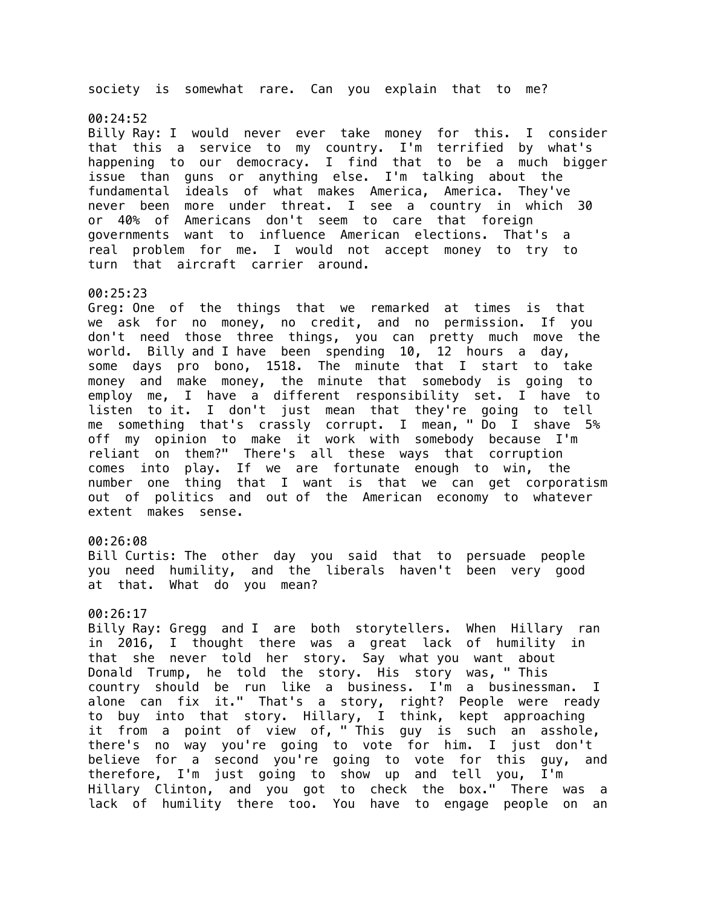society is somewhat rare. Can you explain that to me?

#### 00:24:52

Billy Ray: I would never ever take money for this. I consider that this a service to my country. I'm terrified by what's happening to our democracy. I find that to be a much bigger issue than guns or anything else. I'm talking about the fundamental ideals of what makes America, America. They've never been more under threat. I see a country in which 30 or 40% of Americans don't seem to care that foreign governments want to influence American elections. That's a real problem for me. I would not accept money to try to turn that aircraft carrier around.

#### 00:25:23

Greg: One of the things that we remarked at times is that we ask for no money, no credit, and no permission. If you don't need those three things, you can pretty much move the world. Billy and I have been spending 10, 12 hours a day, some days pro bono, 1518. The minute that I start to take money and make money, the minute that somebody is going to employ me, I have a different responsibility set. I have to listen to it. I don't just mean that they're going to tell me something that's crassly corrupt. I mean, " Do I shave 5% off my opinion to make it work with somebody because I'm reliant on them?" There's all these ways that corruption comes into play. If we are fortunate enough to win, the number one thing that I want is that we can get corporatism out of politics and out of the American economy to whatever extent makes sense.

# 00:26:08

Bill Curtis: The other day you said that to persuade people you need humility, and the liberals haven't been very good at that. What do you mean?

# 00:26:17

Billy Ray: Gregg and I are both storytellers. When Hillary ran in 2016, I thought there was a great lack of humility in that she never told her story. Say what you want about Donald Trump, he told the story. His story was, " This country should be run like a business. I'm a businessman. I alone can fix it." That's a story, right? People were ready to buy into that story. Hillary, I think, kept approaching it from a point of view of, " This guy is such an asshole, there's no way you're going to vote for him. I just don't believe for a second you're going to vote for this guy, and therefore, I'm just going to show up and tell you, I'm Hillary Clinton, and you got to check the box." There was a lack of humility there too. You have to engage people on an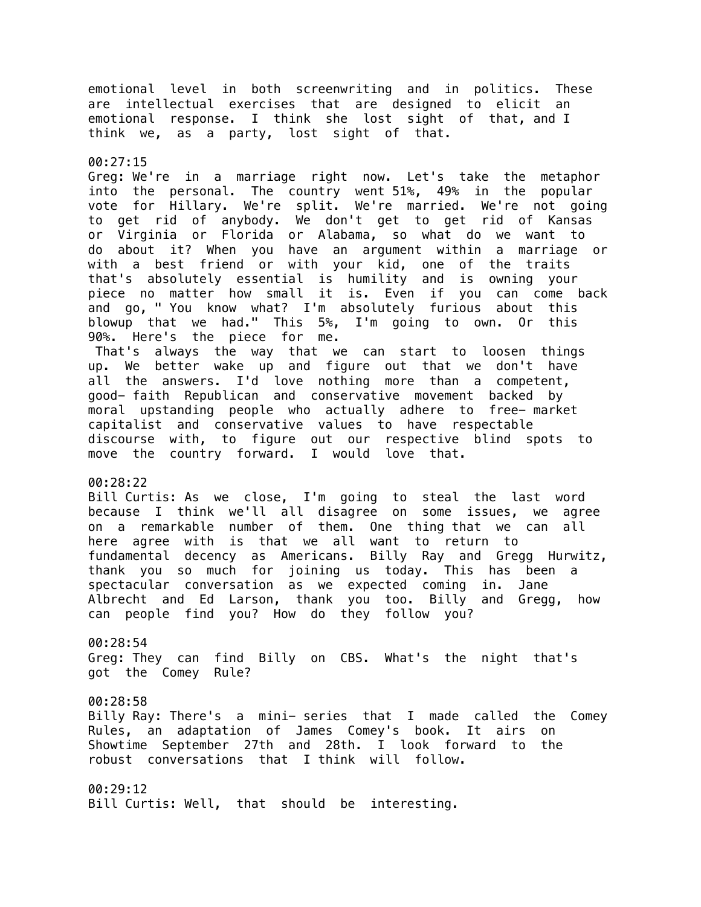emotional level in both screenwriting and in politics. These are intellectual exercises that are designed to elicit an emotional response. I think she lost sight of that, and I think we, as a party, lost sight of that.

#### 00:27:15

Greg: We're in a marriage right now. Let's take the metaphor into the personal. The country went 51%, 49% in the popular vote for Hillary. We're split. We're married. We're not going to get rid of anybody. We don't get to get rid of Kansas or Virginia or Florida or Alabama, so what do we want to do about it? When you have an argument within a marriage or with a best friend or with your kid, one of the traits that's absolutely essential is humility and is owning your piece no matter how small it is. Even if you can come back and go, " You know what? I'm absolutely furious about this blowup that we had." This 5%, I'm going to own. Or this 90%. Here's the piece for me.

 That's always the way that we can start to loosen things up. We better wake up and figure out that we don't have all the answers. I'd love nothing more than a competent, good- faith Republican and conservative movement backed by moral upstanding people who actually adhere to free- market capitalist and conservative values to have respectable discourse with, to figure out our respective blind spots to move the country forward. I would love that.

#### 00:28:22

Bill Curtis: As we close, I'm going to steal the last word because I think we'll all disagree on some issues, we agree on a remarkable number of them. One thing that we can all here agree with is that we all want to return to fundamental decency as Americans. Billy Ray and Gregg Hurwitz, thank you so much for joining us today. This has been a spectacular conversation as we expected coming in. Jane Albrecht and Ed Larson, thank you too. Billy and Gregg, how can people find you? How do they follow you?

# 00:28:54 Greg: They can find Billy on CBS. What's the night that's got the Comey Rule?

00:28:58 Billy Ray: There's a mini- series that I made called the Comey Rules, an adaptation of James Comey's book. It airs on Showtime September 27th and 28th. I look forward to the robust conversations that I think will follow.

00:29:12 Bill Curtis: Well, that should be interesting.